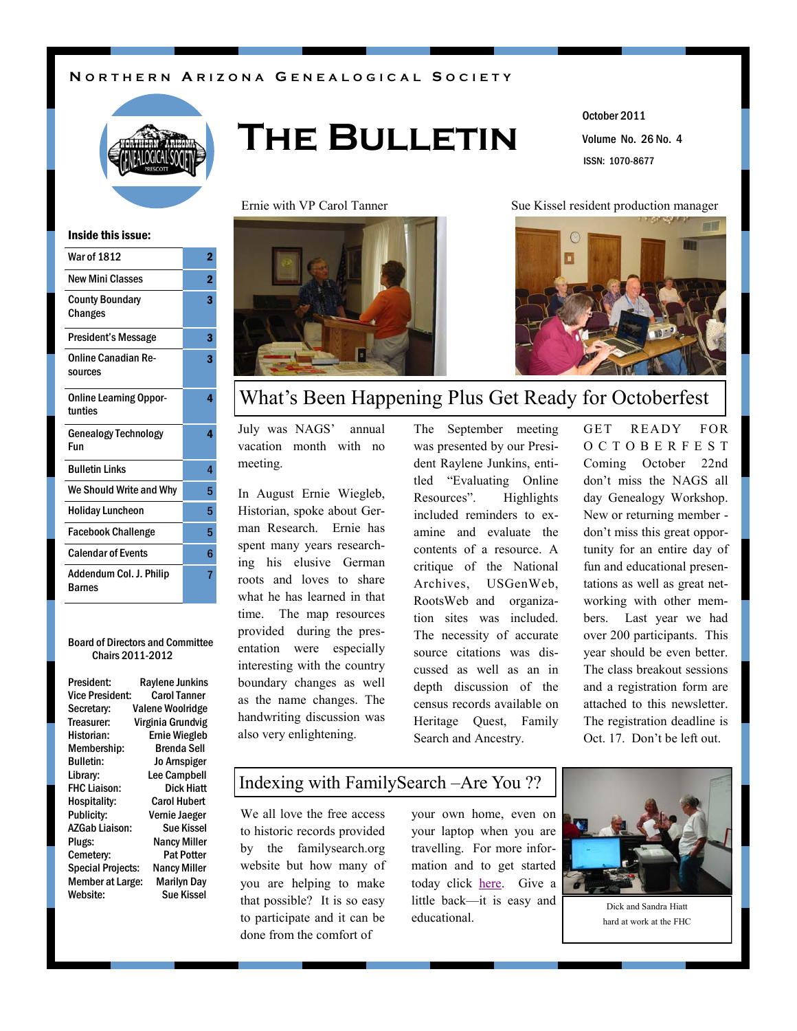#### **N O R T H E R N A R I Z O N A G E N E A L O G I C A L S O C I E T Y**



# **The Bulletin**

Volume No. 26 No. 4 October 2011 ISSN: 1070-8677

Ernie with VP Carol Tanner Sue Kissel resident production manager



#### Inside this issue:

| <b>War of 1812</b>                       | 2              |
|------------------------------------------|----------------|
| <b>New Mini Classes</b>                  | $\overline{2}$ |
| <b>County Boundary</b><br>Changes        | 3              |
| <b>President's Message</b>               | 3              |
| <b>Online Canadian Re-</b><br>sources    | 3              |
| <b>Online Learning Oppor-</b><br>tunties | 4              |
| <b>Genealogy Technology</b><br>Fun       | 4              |
| <b>Bulletin Links</b>                    | 4              |
| We Should Write and Why                  | 5              |
| <b>Holiday Luncheon</b>                  | 5              |
| <b>Facebook Challenge</b>                | 5              |
| <b>Calendar of Events</b>                | 6              |
| Addendum Col. J. Philip<br><b>Barnes</b> | 7              |

#### Board of Directors and Committee Chairs 2011-2012

| President:               | <b>Raylene Junkins</b>  |
|--------------------------|-------------------------|
| Vice President:          | <b>Carol Tanner</b>     |
| Secretary:               | <b>Valene Woolridge</b> |
| Treasurer:               | Virginia Grundvig       |
| Historian:               | <b>Ernie Wiegleb</b>    |
| Membership:              | Brenda Sell             |
| <b>Bulletin:</b>         | Jo Arnspiger            |
| Library:                 | <b>Lee Campbell</b>     |
| <b>FHC Liaison:</b>      | Dick Hiatt              |
| Hospitality:             | <b>Carol Hubert</b>     |
| Publicity:               | Vernie Jaeger           |
| <b>AZGab Liaison:</b>    | <b>Sue Kissel</b>       |
| Plugs:                   | <b>Nancy Miller</b>     |
| Cemetery:                | <b>Pat Potter</b>       |
| <b>Special Projects:</b> | <b>Nancy Miller</b>     |
| <b>Member at Large:</b>  | Marilyn Day             |
| Website:                 | Sue Kissel              |



### What's Been Happening Plus Get Ready for Octoberfest

July was NAGS' annual vacation month with no meeting.

In August Ernie Wiegleb, Historian, spoke about German Research. Ernie has spent many years researching his elusive German roots and loves to share what he has learned in that time. The map resources provided during the presentation were especially interesting with the country boundary changes as well as the name changes. The handwriting discussion was also very enlightening.

The September meeting was presented by our President Raylene Junkins, entitled "Evaluating Online" Resources". Highlights included reminders to examine and evaluate the contents of a resource. A critique of the National Archives, USGenWeb, RootsWeb and organization sites was included. The necessity of accurate source citations was discussed as well as an in depth discussion of the census records available on Heritage Quest, Family Search and Ancestry.

GET READY FOR O C T O B E R F E S T Coming October 22nd don't miss the NAGS all day Genealogy Workshop. New or returning member don't miss this great opportunity for an entire day of fun and educational presentations as well as great networking with other members. Last year we had over 200 participants. This year should be even better. The class breakout sessions and a registration form are attached to this newsletter. The registration deadline is Oct. 17. Don't be left out.

### Indexing with FamilySearch –Are You ??

We all love the free access to historic records provided by the familysearch.org website but how many of you are helping to make that possible? It is so easy to participate and it can be done from the comfort of

your own home, even on your laptop when you are travelling. For more information and to get started today click [here.](https://familysearch.org/volunteer/indexing) Give a little back—it is easy and educational.



Dick and Sandra Hiatt hard at work at the FHC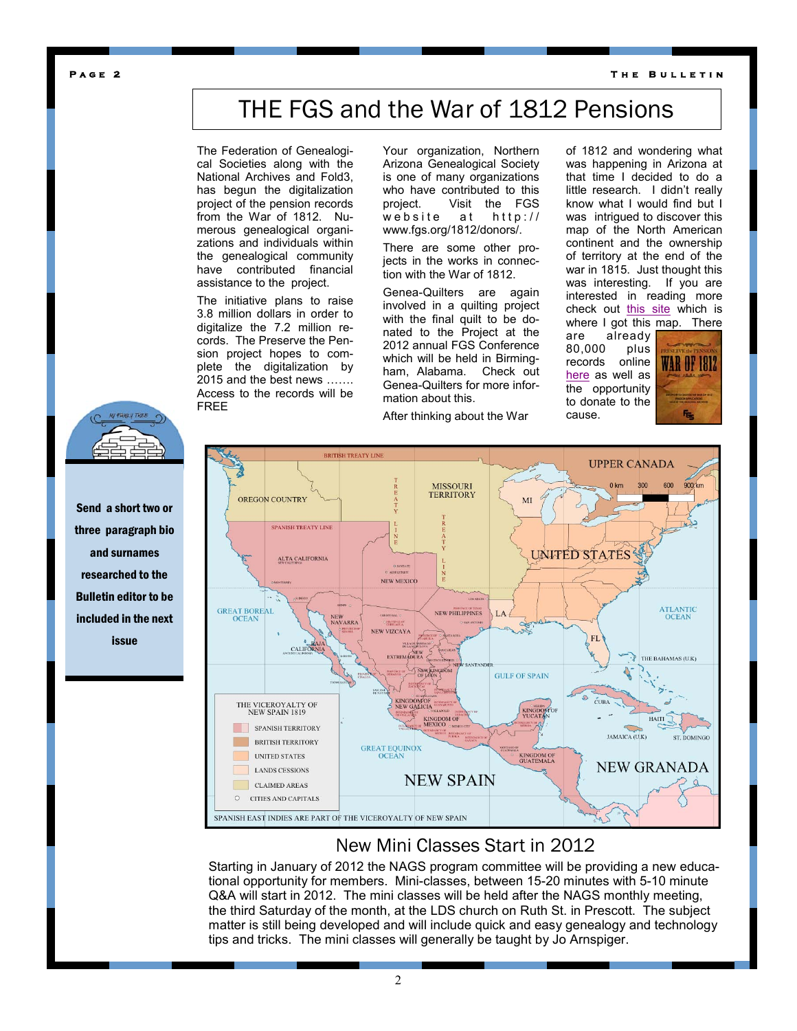**T h e B u l l e t i n** 

**P a g e 2** 

### THE FGS and the War of 1812 Pensions

The Federation of Genealogical Societies along with the National Archives and Fold3, has begun the digitalization project of the pension records from the War of 1812. Numerous genealogical organizations and individuals within the genealogical community have contributed financial assistance to the project.

The initiative plans to raise 3.8 million dollars in order to digitalize the 7.2 million records. The Preserve the Pension project hopes to complete the digitalization by 2015 and the best news ……. Access to the records will be FREE

Your organization, Northern Arizona Genealogical Society is one of many organizations who have contributed to this project. Visit the FGS website at http:// www.fgs.org/1812/donors/.

There are some other projects in the works in connection with the War of 1812.

Genea-Quilters are again involved in a quilting project with the final quilt to be donated to the Project at the 2012 annual FGS Conference which will be held in Birmingham, Alabama. Check out Genea-Quilters for more information about this.

After thinking about the War

of 1812 and wondering what was happening in Arizona at that time I decided to do a little research. I didn't really know what I would find but I was intrigued to discover this map of the North American continent and the ownership of territory at the end of the war in 1815. Just thought this was interesting. If you are interested in reading more check out [this site](http://en.wikipedia.org/wiki/Sonora_y_Sinaloa) which is where I got this map. There

are already 80,000 plus records online [here](http://go.fold3.com/1812pensions/) as well as the opportunity to donate to the cause.





Send a short two or three paragraph bio and surnames researched to the Bulletin editor to be included in the next issue



### New Mini Classes Start in 2012

Starting in January of 2012 the NAGS program committee will be providing a new educational opportunity for members. Mini-classes, between 15-20 minutes with 5-10 minute Q&A will start in 2012. The mini classes will be held after the NAGS monthly meeting, the third Saturday of the month, at the LDS church on Ruth St. in Prescott. The subject matter is still being developed and will include quick and easy genealogy and technology tips and tricks. The mini classes will generally be taught by Jo Arnspiger.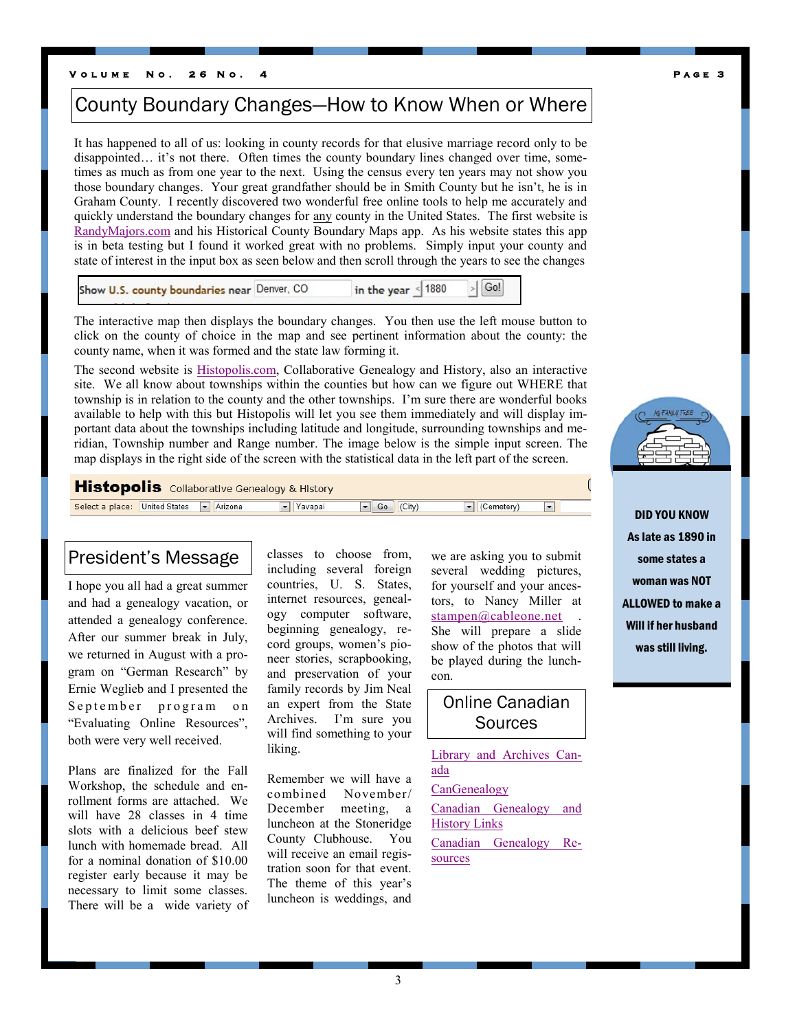#### **V o l u m e N o . 2 6 N o . 4 P a g e 3**

### County Boundary Changes—How to Know When or Where

It has happened to all of us: looking in county records for that elusive marriage record only to be disappointed… it's not there. Often times the county boundary lines changed over time, sometimes as much as from one year to the next. Using the census every ten years may not show you those boundary changes. Your great grandfather should be in Smith County but he isn't, he is in Graham County. I recently discovered two wonderful free online tools to help me accurately and quickly understand the boundary changes for any county in the United States. The first website is [RandyMajors.com](http://randymajors.com/p/maps.html) and his Historical County Boundary Maps app. As his website states this app is in beta testing but I found it worked great with no problems. Simply input your county and state of interest in the input box as seen below and then scroll through the years to see the changes

| Show U.S. county boundaries near Denver, CO | in the year $\leq$ 1880 $\geq$ Go! |  |
|---------------------------------------------|------------------------------------|--|
|                                             |                                    |  |

The interactive map then displays the boundary changes. You then use the left mouse button to click on the county of choice in the map and see pertinent information about the county: the county name, when it was formed and the state law forming it.

The second website is [Histopolis.com,](http://www.histopolis.com/Place/US) Collaborative Genealogy and History, also an interactive site. We all know about townships within the counties but how can we figure out WHERE that township is in relation to the county and the other townships. I'm sure there are wonderful books available to help with this but Histopolis will let you see them immediately and will display important data about the townships including latitude and longitude, surrounding townships and meridian, Township number and Range number. The image below is the simple input screen. The map displays in the right side of the screen with the statistical data in the left part of the screen.

**Histopolis** Collaborative Genealogy & History

Select a place: United States Talk Arizona  $\boxed{\blacksquare}$  Go  $\boxed{\text{(City)}}$ Vavapai  $\sqrt{\frac{1}{2}$  (Cemetery)  $\boxed{•}$ 

### President's Message

I hope you all had a great summer and had a genealogy vacation, or attended a genealogy conference. After our summer break in July, we returned in August with a program on "German Research" by Ernie Weglieb and I presented the September program on "Evaluating Online Resources", both were very well received.

Plans are finalized for the Fall Workshop, the schedule and enrollment forms are attached. We will have 28 classes in 4 time slots with a delicious beef stew lunch with homemade bread. All for a nominal donation of \$10.00 register early because it may be necessary to limit some classes. There will be a wide variety of classes to choose from, including several foreign countries, U. S. States, internet resources, genealogy computer software, beginning genealogy, record groups, women's pioneer stories, scrapbooking, and preservation of your family records by Jim Neal an expert from the State Archives. I'm sure you will find something to your liking.

Remember we will have a combined November/ December meeting, a luncheon at the Stoneridge County Clubhouse. You will receive an email registration soon for that event. The theme of this year's luncheon is weddings, and we are asking you to submit several wedding pictures, for yourself and your ancestors, to Nancy Miller at  $stampen@cableone.net$ She will prepare a slide show of the photos that will be played during the luncheon.

Online Canadian **Sources** 

[Library and Archives Can](http://www.collectionscanada.gc.ca/index-e.html)[ada](http://www.collectionscanada.gc.ca/index-e.html) **[CanGenealogy](http://www.cangenealogy.com/)** [Canadian Genealogy and](http://www.islandnet.com/~cghl/)  **[History Links](http://www.islandnet.com/~cghl/)** [Canadian Genealogy Re](http://www.canadiangenealogy.net/)[sources](http://www.canadiangenealogy.net/)



DID YOU KNOW As late as 1890 in some states a woman was NOT ALLOWED to make a Will if her husband was still living.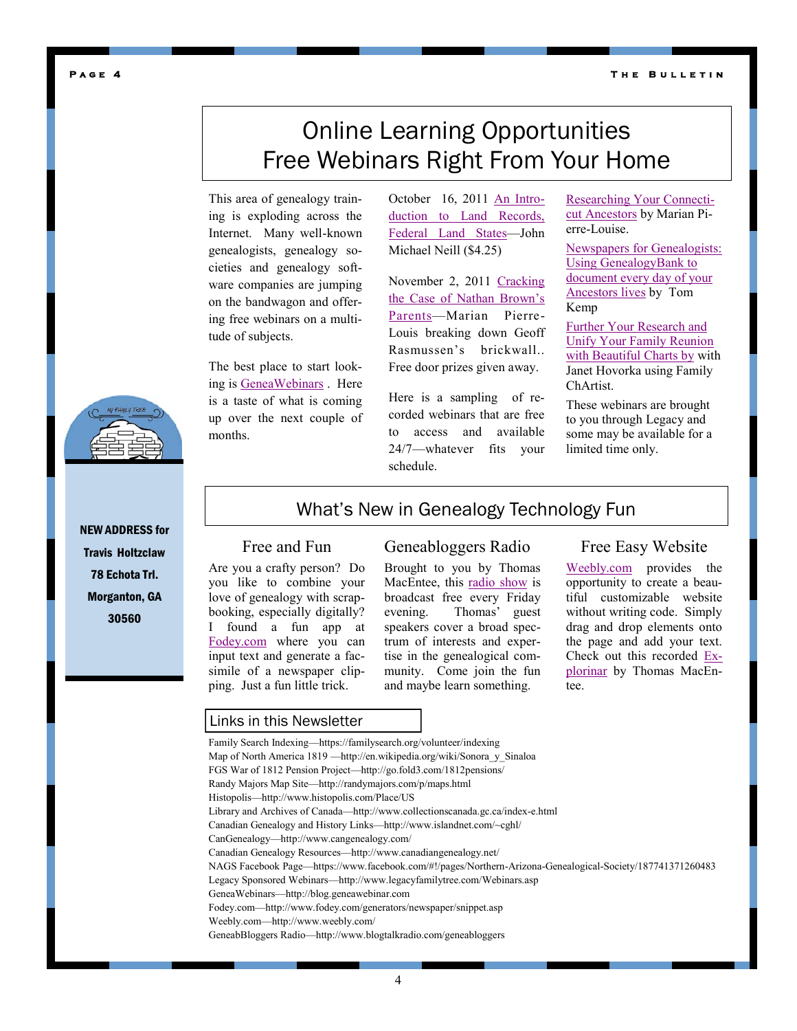**T h e B u l l e t i n** 

#### **P a g e 4**

### Online Learning Opportunities Free Webinars Right From Your Home

This area of genealogy training is exploding across the Internet. Many well-known genealogists, genealogy societies and genealogy software companies are jumping on the bandwagon and offering free webinars on a multitude of subjects.

The best place to start looking is [GeneaWebinars](http://blog.geneawebinars.com/) . Here is a taste of what is coming up over the next couple of months.

October 16, 2011 [An Intro](http://www.casefileclues.com/webinars_neill.htm)[duction to Land Records,](http://www.casefileclues.com/webinars_neill.htm)  [Federal Land States](http://www.casefileclues.com/webinars_neill.htm)—John Michael Neill (\$4.25)

November 2, 2011 [Cracking](http://www.legacyfamilytree.com/Webinars.asp)  [the Case of Nathan Brown's](http://www.legacyfamilytree.com/Webinars.asp)  [Parents](http://www.legacyfamilytree.com/Webinars.asp)—Marian Pierre-Louis breaking down Geoff Rasmussen's brickwall.. Free door prizes given away.

Here is a sampling of recorded webinars that are free to access and available 24/7—whatever fits your schedule.

[Researching Your Connecti](http://www.millenniacorp.com/_videos/webinars/2011-09-21-ct/2011-09-21-ct.html)[cut Ancestors](http://www.millenniacorp.com/_videos/webinars/2011-09-21-ct/2011-09-21-ct.html) by Marian Pierre-Louise.

[Newspapers for Genealogists:](http://www.millenniacorp.com/_videos/webinars/2011-08-17-newspapers/2011-08-17-newspapers.html)  [Using GenealogyBank to](http://www.millenniacorp.com/_videos/webinars/2011-08-17-newspapers/2011-08-17-newspapers.html)  [document every day of your](http://www.millenniacorp.com/_videos/webinars/2011-08-17-newspapers/2011-08-17-newspapers.html)  [Ancestors lives](http://www.millenniacorp.com/_videos/webinars/2011-08-17-newspapers/2011-08-17-newspapers.html) by Tom Kemp

[Further Your Research and](http://www.millenniacorp.com/_videos/webinars/2011-05-11-charts/2011-05-11-charts.html)  [Unify Your Family Reunion](http://www.millenniacorp.com/_videos/webinars/2011-05-11-charts/2011-05-11-charts.html)  [with Beautiful Charts by](http://www.millenniacorp.com/_videos/webinars/2011-05-11-charts/2011-05-11-charts.html) with Janet Hovorka using Family ChArtist.

These webinars are brought to you through Legacy and some may be available for a limited time only.

NEW ADDRESS for Travis Holtzclaw 78 Echota Trl. Morganton, GA 30560

### What's New in Genealogy Technology Fun

### Free and Fun

Are you a crafty person? Do you like to combine your love of genealogy with scrapbooking, especially digitally? I found a fun app at [Fodey.com](http://www.fodey.com/generators/newspaper/snippet.asp) where you can input text and generate a facsimile of a newspaper clipping. Just a fun little trick.

### Geneabloggers Radio

Brought to you by Thomas MacEntee, this [radio show](http://www.blogtalkradio.com/geneabloggers) is broadcast free every Friday evening. Thomas' guest speakers cover a broad spectrum of interests and expertise in the genealogical community. Come join the fun and maybe learn something.

### Free Easy Website

[Weebly.com](http://www.weebly.com/) provides the opportunity to create a beautiful customizable website without writing code. Simply drag and drop elements onto the page and add your text. Check out this recorded [Ex](http://vimeo.com/28137132)[plorinar](http://vimeo.com/28137132) by Thomas MacEntee.

#### Links in this Newsletter

Family Search Indexing—https://familysearch.org/volunteer/indexing Map of North America 1819 —http://en.wikipedia.org/wiki/Sonora\_y\_Sinaloa FGS War of 1812 Pension Project—http://go.fold3.com/1812pensions/ Randy Majors Map Site—http://randymajors.com/p/maps.html Histopolis—http://www.histopolis.com/Place/US Library and Archives of Canada—http://www.collectionscanada.gc.ca/index-e.html Canadian Genealogy and History Links—http://www.islandnet.com/~cghl/ CanGenealogy—http://www.cangenealogy.com/ Canadian Genealogy Resources—http://www.canadiangenealogy.net/ NAGS Facebook Page—https://www.facebook.com/#!/pages/Northern-Arizona-Genealogical-Society/187741371260483 Legacy Sponsored Webinars—http://www.legacyfamilytree.com/Webinars.asp GeneaWebinars—http://blog.geneawebinar.com Fodey.com—http://www.fodey.com/generators/newspaper/snippet.asp Weebly.com—http://www.weebly.com/ GeneabBloggers Radio—http://www.blogtalkradio.com/geneabloggers

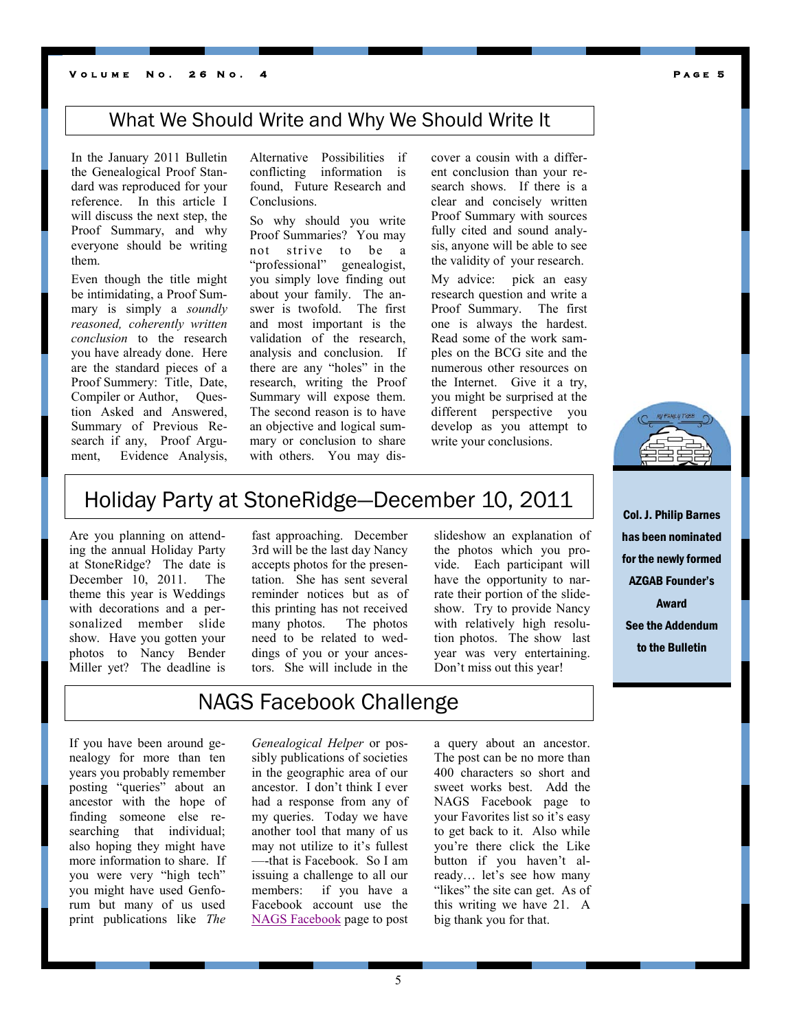In the January 2011 Bulletin the Genealogical Proof Standard was reproduced for your reference. In this article I will discuss the next step, the Proof Summary, and why everyone should be writing them.

Even though the title might be intimidating, a Proof Summary is simply a *soundly reasoned, coherently written conclusion* to the research you have already done. Here are the standard pieces of a Proof Summery: Title, Date, Compiler or Author, Question Asked and Answered, Summary of Previous Research if any, Proof Argument, Evidence Analysis,

Alternative Possibilities if conflicting information is found, Future Research and Conclusions.

So why should you write Proof Summaries? You may not strive to be a "professional" genealogist, you simply love finding out about your family. The answer is twofold. The first and most important is the validation of the research, analysis and conclusion. If there are any "holes" in the research, writing the Proof Summary will expose them. The second reason is to have an objective and logical summary or conclusion to share with others. You may discover a cousin with a different conclusion than your research shows. If there is a clear and concisely written Proof Summary with sources fully cited and sound analysis, anyone will be able to see the validity of your research.

My advice: pick an easy research question and write a Proof Summary. The first one is always the hardest. Read some of the work samples on the BCG site and the numerous other resources on the Internet. Give it a try, you might be surprised at the different perspective you develop as you attempt to write your conclusions.



Col. J. Philip Barnes has been nominated for the newly formed AZGAB Founder's Award See the Addendum to the Bulletin

Holiday Party at StoneRidge—December 10, 2011

Are you planning on attending the annual Holiday Party at StoneRidge? The date is December 10, 2011. The theme this year is Weddings with decorations and a personalized member slide show. Have you gotten your photos to Nancy Bender Miller yet? The deadline is

fast approaching. December 3rd will be the last day Nancy accepts photos for the presentation. She has sent several reminder notices but as of this printing has not received many photos. The photos need to be related to weddings of you or your ancestors. She will include in the

slideshow an explanation of the photos which you provide. Each participant will have the opportunity to narrate their portion of the slideshow. Try to provide Nancy with relatively high resolution photos. The show last year was very entertaining. Don't miss out this year!

### NAGS Facebook Challenge

If you have been around genealogy for more than ten years you probably remember posting "queries" about an ancestor with the hope of finding someone else researching that individual; also hoping they might have more information to share. If you were very "high tech" you might have used Genforum but many of us used print publications like *The* 

*Genealogical Helper* or possibly publications of societies in the geographic area of our ancestor. I don't think I ever had a response from any of my queries. Today we have another tool that many of us may not utilize to it's fullest —-that is Facebook. So I am issuing a challenge to all our members: if you have a Facebook account use the [NAGS Facebook](https://www.facebook.com/#!/pages/Northern-Arizona-Genealogical-Society/187741371260483) page to post

a query about an ancestor. The post can be no more than 400 characters so short and sweet works best. Add the NAGS Facebook page to your Favorites list so it's easy to get back to it. Also while you're there click the Like button if you haven't already… let's see how many "likes" the site can get. As of this writing we have 21. A big thank you for that.

**P a g e 5**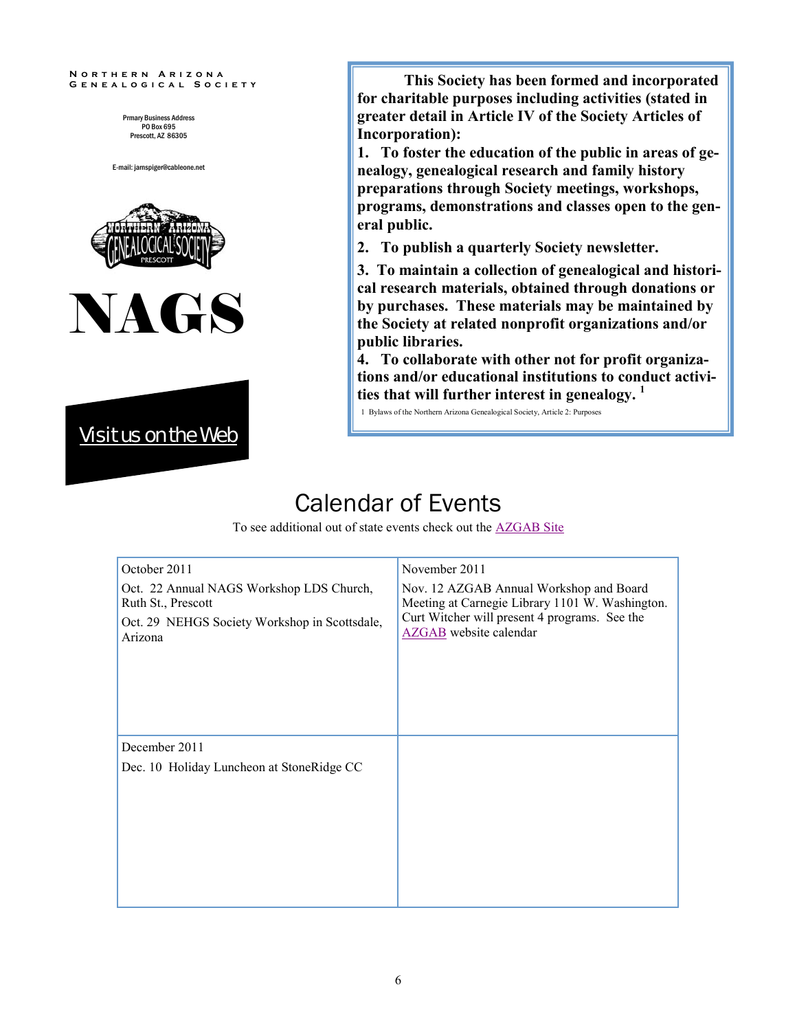#### **N o r t h e r n A r i z o n a G e n e a l o g i c a l S o c i e t y**

Prmary Business Address PO Box 695 Prescott, AZ 86305

E-mail: jarnspiger@cableone.net







**This Society has been formed and incorporated for charitable purposes including activities (stated in greater detail in Article IV of the Society Articles of Incorporation):**

**1. To foster the education of the public in areas of genealogy, genealogical research and family history preparations through Society meetings, workshops, programs, demonstrations and classes open to the general public.** 

**2. To publish a quarterly Society newsletter.**

**3. To maintain a collection of genealogical and historical research materials, obtained through donations or by purchases. These materials may be maintained by the Society at related nonprofit organizations and/or public libraries.**

**4. To collaborate with other not for profit organizations and/or educational institutions to conduct activities that will further interest in genealogy. <sup>1</sup>**

1 Bylaws of the Northern Arizona Genealogical Society, Article 2: Purposes

### Calendar of Events

To see additional out of state events check out the [AZGAB Site](http://azgab.com/calendar.htm)

| October 2011                                                   | November 2011                                                                              |
|----------------------------------------------------------------|--------------------------------------------------------------------------------------------|
| Oct. 22 Annual NAGS Workshop LDS Church,<br>Ruth St., Prescott | Nov. 12 AZGAB Annual Workshop and Board<br>Meeting at Carnegie Library 1101 W. Washington. |
| Oct. 29 NEHGS Society Workshop in Scottsdale,<br>Arizona       | Curt Witcher will present 4 programs. See the<br><b>AZGAB</b> website calendar             |
|                                                                |                                                                                            |
| December 2011                                                  |                                                                                            |
| Dec. 10 Holiday Luncheon at StoneRidge CC                      |                                                                                            |
|                                                                |                                                                                            |
|                                                                |                                                                                            |